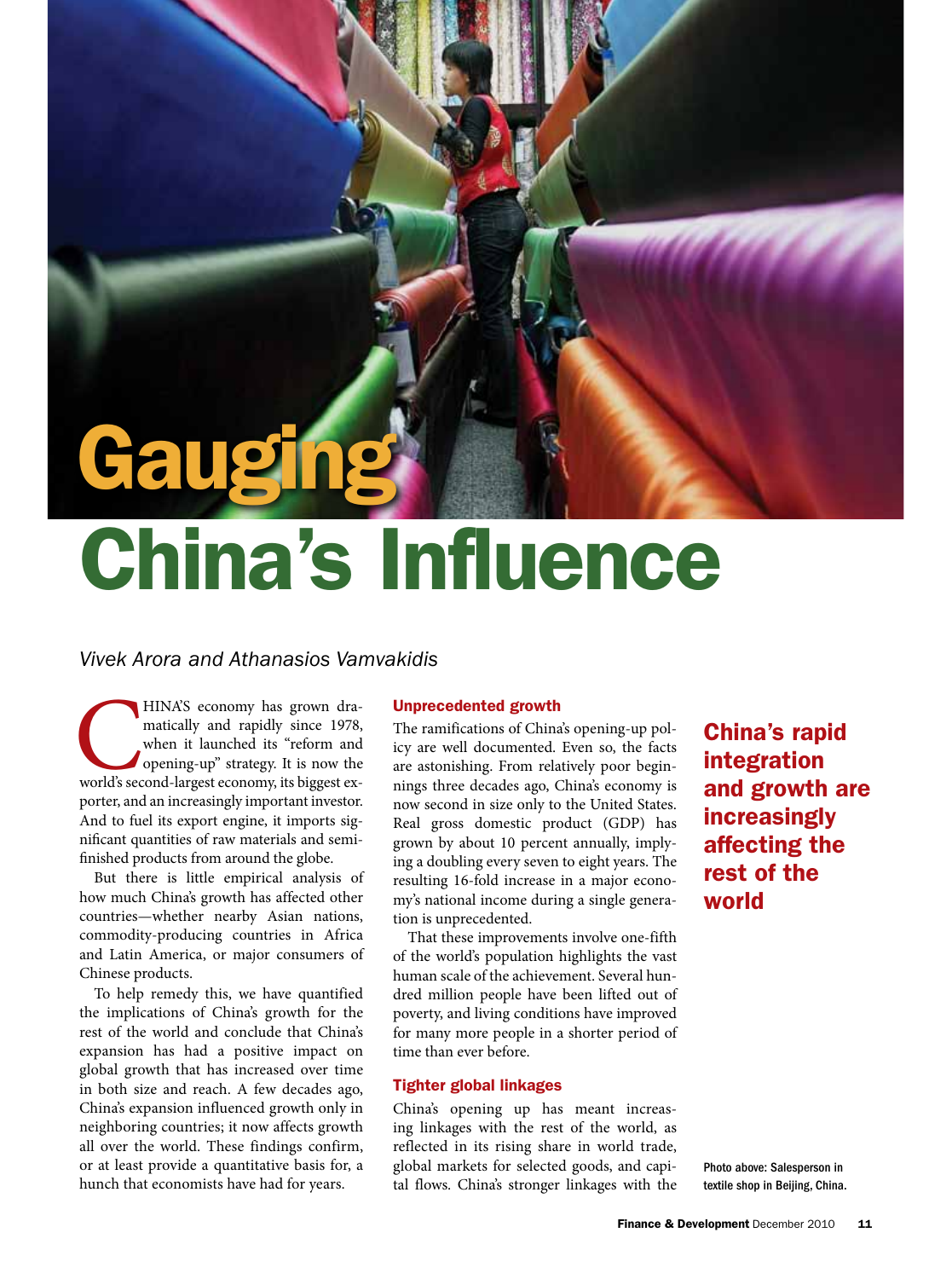# Gauging China's Influence

### *Vivek Arora and Athanasios Vamvakidis*

HINA'S economy has grown dramatically and rapidly since 1978, when it launched its "reform and opening-up" strategy. It is now the world's second-largest economy, its biggest exmatically and rapidly since 1978, when it launched its "reform and opening-up" strategy. It is now the porter, and an increasingly important investor. And to fuel its export engine, it imports significant quantities of raw materials and semifinished products from around the globe.

But there is little empirical analysis of how much China's growth has affected other countries—whether nearby Asian nations, commodity-producing countries in Africa and Latin America, or major consumers of Chinese products.

To help remedy this, we have quantified the implications of China's growth for the rest of the world and conclude that China's expansion has had a positive impact on global growth that has increased over time in both size and reach. A few decades ago, China's expansion influenced growth only in neighboring countries; it now affects growth all over the world. These findings confirm, or at least provide a quantitative basis for, a hunch that economists have had for years.

#### Unprecedented growth

The ramifications of China's opening-up policy are well documented. Even so, the facts are astonishing. From relatively poor beginnings three decades ago, China's economy is now second in size only to the United States. Real gross domestic product (GDP) has grown by about 10 percent annually, implying a doubling every seven to eight years. The resulting 16-fold increase in a major economy's national income during a single generation is unprecedented.

That these improvements involve one-fifth of the world's population highlights the vast human scale of the achievement. Several hundred million people have been lifted out of poverty, and living conditions have improved for many more people in a shorter period of time than ever before.

#### Tighter global linkages

China's opening up has meant increasing linkages with the rest of the world, as reflected in its rising share in world trade, global markets for selected goods, and capital flows. China's stronger linkages with the

China's rapid integration and growth are increasingly affecting the rest of the world

Photo above: Salesperson in textile shop in Beijing, China.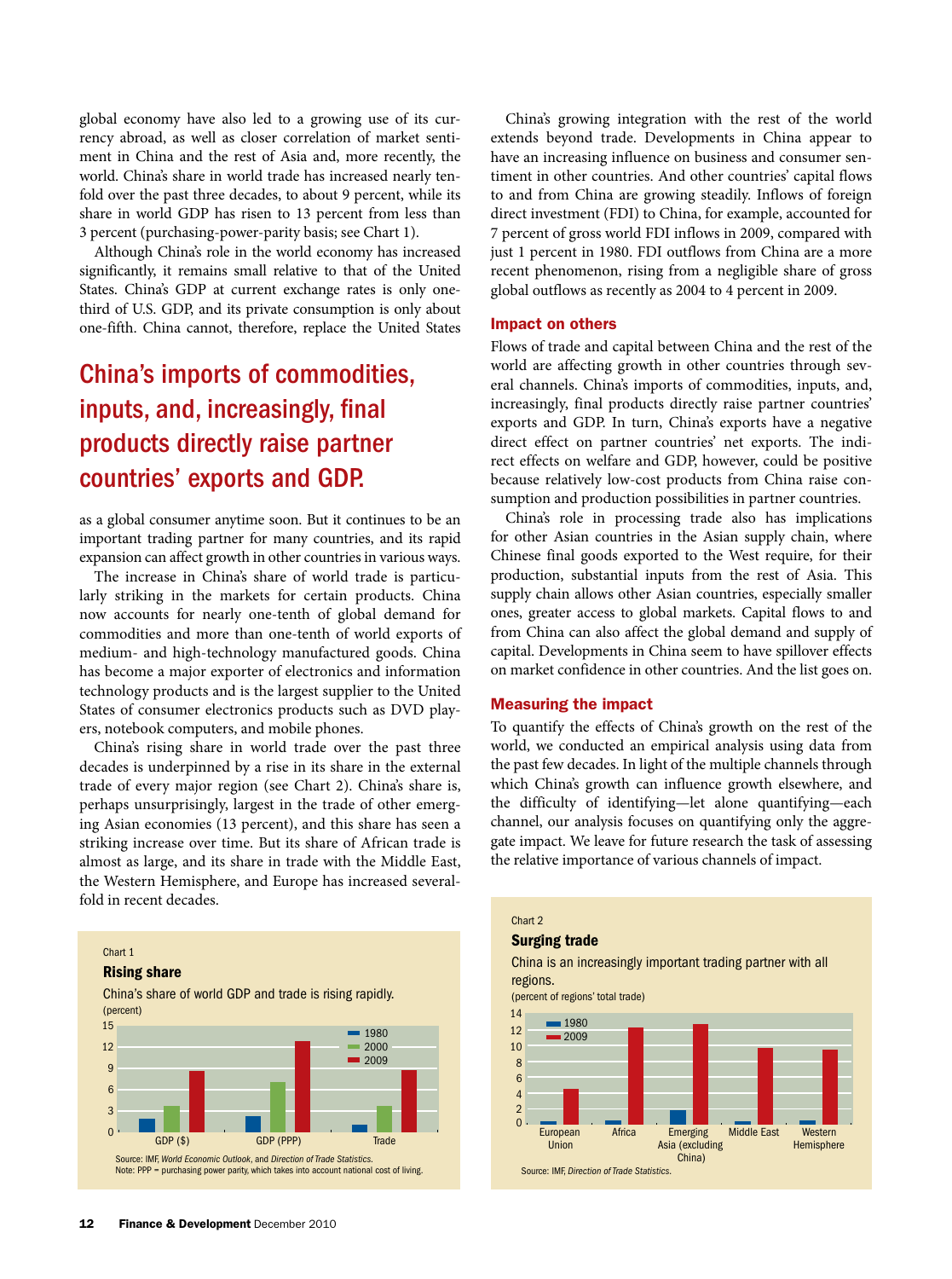global economy have also led to a growing use of its currency abroad, as well as closer correlation of market sentiment in China and the rest of Asia and, more recently, the world. China's share in world trade has increased nearly tenfold over the past three decades, to about 9 percent, while its share in world GDP has risen to 13 percent from less than 3 percent (purchasing-power-parity basis; see Chart 1).

Although China's role in the world economy has increased significantly, it remains small relative to that of the United States. China's GDP at current exchange rates is only onethird of U.S. GDP, and its private consumption is only about one-fifth. China cannot, therefore, replace the United States

## China's imports of commodities, inputs, and, increasingly, final products directly raise partner countries' exports and GDP.

as a global consumer anytime soon. But it continues to be an important trading partner for many countries, and its rapid expansion can affect growth in other countries in various ways.

The increase in China's share of world trade is particularly striking in the markets for certain products. China now accounts for nearly one-tenth of global demand for commodities and more than one-tenth of world exports of medium- and high-technology manufactured goods. China has become a major exporter of electronics and information technology products and is the largest supplier to the United States of consumer electronics products such as DVD players, notebook computers, and mobile phones.

China's rising share in world trade over the past three decades is underpinned by a rise in its share in the external trade of every major region (see Chart 2). China's share is, perhaps unsurprisingly, largest in the trade of other emerging Asian economies (13 percent), and this share has seen a striking increase over time. But its share of African trade is almost as large, and its share in trade with the Middle East, the Western Hemisphere, and Europe has increased severalfold in recent decades.



China's growing integration with the rest of the world extends beyond trade. Developments in China appear to have an increasing influence on business and consumer sentiment in other countries. And other countries' capital flows to and from China are growing steadily. Inflows of foreign direct investment (FDI) to China, for example, accounted for 7 percent of gross world FDI inflows in 2009, compared with just 1 percent in 1980. FDI outflows from China are a more recent phenomenon, rising from a negligible share of gross global outflows as recently as 2004 to 4 percent in 2009.

#### Impact on others

Flows of trade and capital between China and the rest of the world are affecting growth in other countries through several channels. China's imports of commodities, inputs, and, increasingly, final products directly raise partner countries' exports and GDP. In turn, China's exports have a negative direct effect on partner countries' net exports. The indirect effects on welfare and GDP, however, could be positive because relatively low-cost products from China raise consumption and production possibilities in partner countries.

China's role in processing trade also has implications for other Asian countries in the Asian supply chain, where Chinese final goods exported to the West require, for their production, substantial inputs from the rest of Asia. This supply chain allows other Asian countries, especially smaller ones, greater access to global markets. Capital flows to and from China can also affect the global demand and supply of capital. Developments in China seem to have spillover effects on market confidence in other countries. And the list goes on.

#### Measuring the impact

To quantify the effects of China's growth on the rest of the world, we conducted an empirical analysis using data from the past few decades. In light of the multiple channels through which China's growth can influence growth elsewhere, and the difficulty of identifying—let alone quantifying—each channel, our analysis focuses on quantifying only the aggregate impact. We leave for future research the task of assessing the relative importance of various channels of impact.

#### Chart 2 Surging trade China is an increasingly important trading partner with all regions. (percent of regions' total trade) Source: IMF, *Direction of Trade Statistics*. European Africa Emerging Middle East Western Asia (excluding China) ■ 1980 <sup>2009</sup>  $\Omega$  $\overline{2}$ 4 6 8 10 12 14